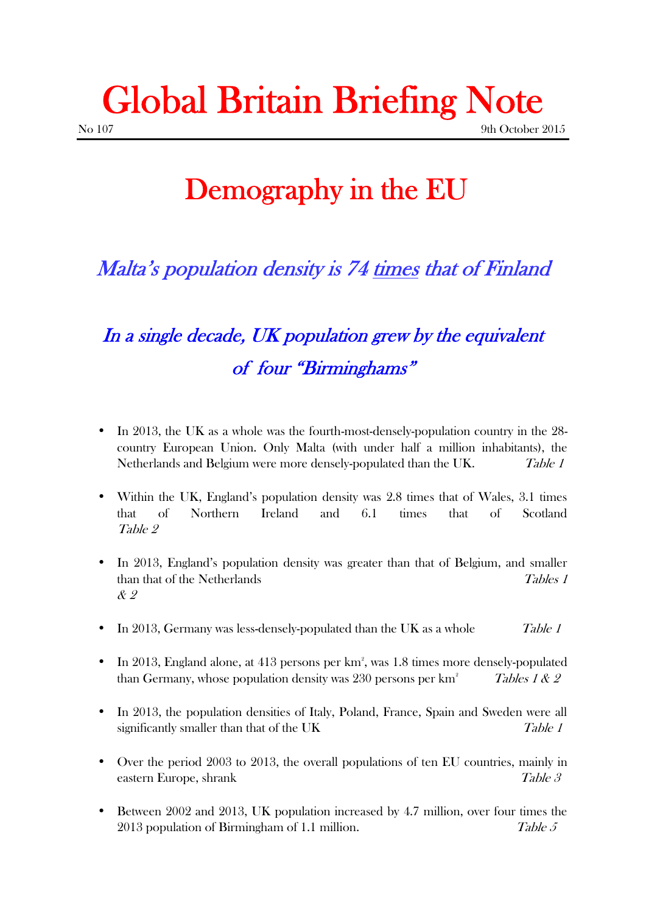## **Global Britain Briefing Note** No 107 9th October 2015

## **Demography in the EU**

#### *Malta's population density is 74 times that of Finland*

### *In a single decade, UK population grew by the equivalent of four "Birminghams"*

- In 2013, the UK as a whole was the fourth-most-densely-population country in the 28 country European Union. Only Malta (with under half a million inhabitants), the Netherlands and Belgium were more densely-populated than the UK. *Table 1*
- Within the UK, England's population density was 2.8 times that of Wales, 3.1 times that of Northern Ireland and 6.1 times that of Scotland *Table 2*
- In 2013, England's population density was greater than that of Belgium, and smaller than that of the Netherlands *Tables 1 & 2*
- In 2013, Germany was less-densely-populated than the UK as a whole *Table 1*
- $\bullet$  In 2013, England alone, at 413 persons per km<sup>2</sup>, was 1.8 times more densely-populated than Germany, whose population density was 230 persons per km<sup>2</sup> *Tables 1 & 2*
- In 2013, the population densities of Italy, Poland, France, Spain and Sweden were all significantly smaller than that of the UK *Table 1*
- Over the period 2003 to 2013, the overall populations of ten EU countries, mainly in eastern Europe, shrank *Table 3*
- Between 2002 and 2013, UK population increased by 4.7 million, over four times the 2013 population of Birmingham of 1.1 million. *Table 5*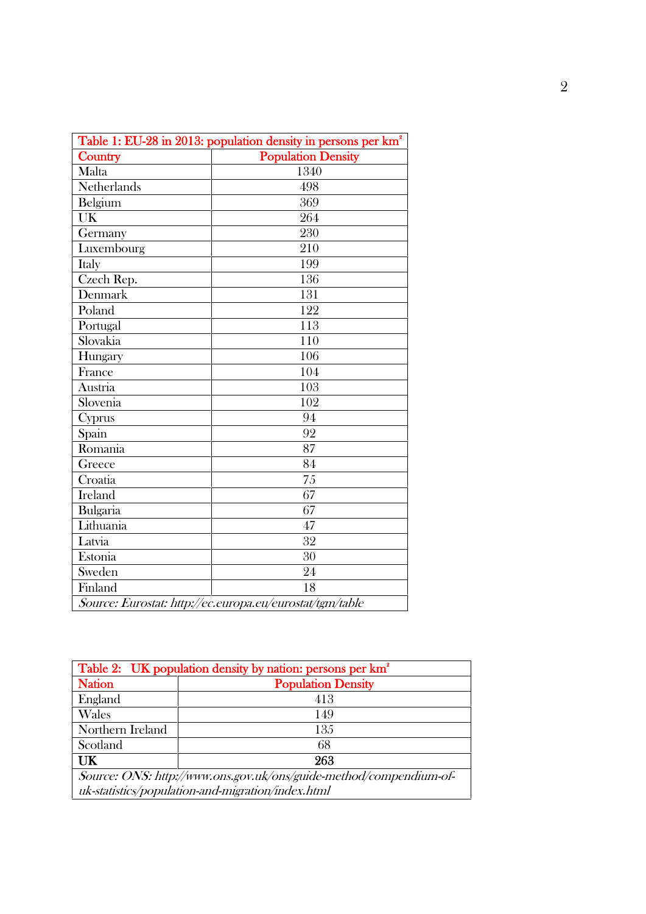| Table 1: EU-28 in 2013: population density in persons per km <sup>2</sup><br><b>Population Density</b><br>Country |      |  |
|-------------------------------------------------------------------------------------------------------------------|------|--|
| Malta                                                                                                             | 1340 |  |
| Netherlands                                                                                                       | 498  |  |
| Belgium                                                                                                           | 369  |  |
| UK                                                                                                                | 264  |  |
| Germany                                                                                                           | 230  |  |
| Luxembourg                                                                                                        | 210  |  |
| Italy                                                                                                             | 199  |  |
| Czech Rep.                                                                                                        | 136  |  |
| Denmark                                                                                                           | 131  |  |
| Poland                                                                                                            | 122  |  |
| Portugal                                                                                                          | 113  |  |
| Slovakia                                                                                                          | 110  |  |
| Hungary                                                                                                           | 106  |  |
| France                                                                                                            | 104  |  |
| Austria                                                                                                           | 103  |  |
| Slovenia                                                                                                          | 102  |  |
| Cyprus                                                                                                            | 94   |  |
| Spain                                                                                                             | 92   |  |
| Romania                                                                                                           | 87   |  |
| Greece                                                                                                            | 84   |  |
| Croatia                                                                                                           | 75   |  |
| <b>Ireland</b>                                                                                                    | 67   |  |
| Bulgaria                                                                                                          | 67   |  |
| Lithuania                                                                                                         | 47   |  |
| Latvia                                                                                                            | 32   |  |
| Estonia                                                                                                           | 30   |  |
| Sweden                                                                                                            | 24   |  |
| Finland                                                                                                           | 18   |  |

| Table 2: UK population density by nation: persons per km <sup>2</sup> |                           |  |
|-----------------------------------------------------------------------|---------------------------|--|
| <b>Nation</b>                                                         | <b>Population Density</b> |  |
| England                                                               | 413                       |  |
| Wales                                                                 | 149                       |  |
| Northern Ireland                                                      | 135                       |  |
| Scotland                                                              | 68                        |  |
| <b>UK</b>                                                             | 263                       |  |
| Source: ONS: http://www.ons.gov.uk/ons/guide-method/compendium-of-    |                           |  |
| uk-statistics/population-and-migration/index.html                     |                           |  |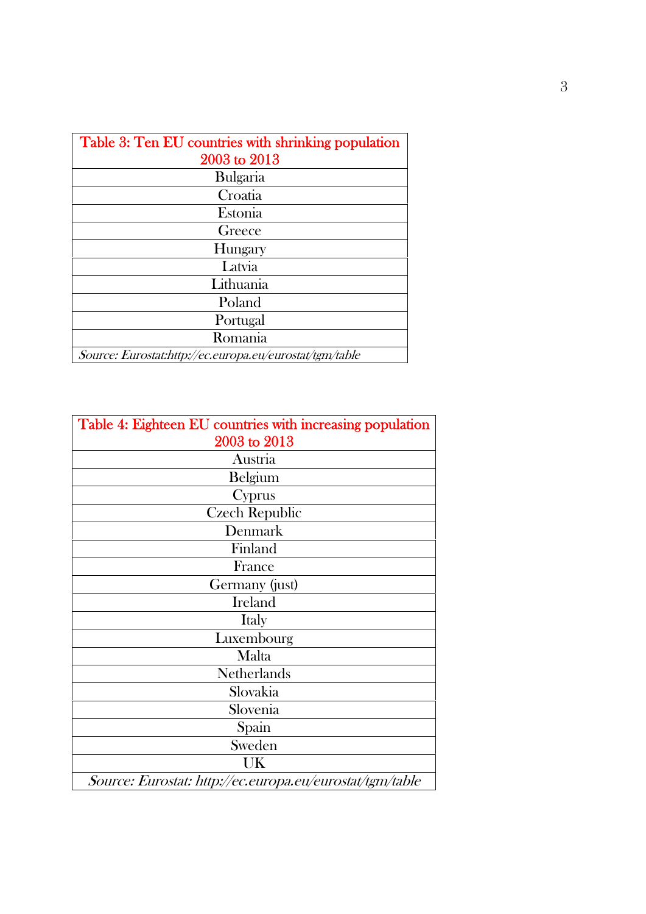| Table 3: Ten EU countries with shrinking population     |  |  |
|---------------------------------------------------------|--|--|
| 2003 to 2013                                            |  |  |
| <b>Bulgaria</b>                                         |  |  |
| Croatia                                                 |  |  |
| Estonia                                                 |  |  |
| Greece                                                  |  |  |
| Hungary                                                 |  |  |
| Latvia                                                  |  |  |
| Lithuania                                               |  |  |
| Poland                                                  |  |  |
| Portugal                                                |  |  |
| Romania                                                 |  |  |
| Source: Eurostat:http://ec.europa.eu/eurostat/tgm/table |  |  |

| Table 4: Eighteen EU countries with increasing population |
|-----------------------------------------------------------|
| 2003 to 2013                                              |
| Austria                                                   |
| Belgium                                                   |
| Cyprus                                                    |
| <b>Czech Republic</b>                                     |
| Denmark                                                   |
| Finland                                                   |
| France                                                    |
| Germany (just)                                            |
| Ireland                                                   |
| Italy                                                     |
| Luxembourg                                                |
| Malta                                                     |
| Netherlands                                               |
| Slovakia                                                  |
| Slovenia                                                  |
| Spain                                                     |
| Sweden                                                    |
| UK                                                        |
| Source: Eurostat: http://ec.europa.eu/eurostat/tgm/table  |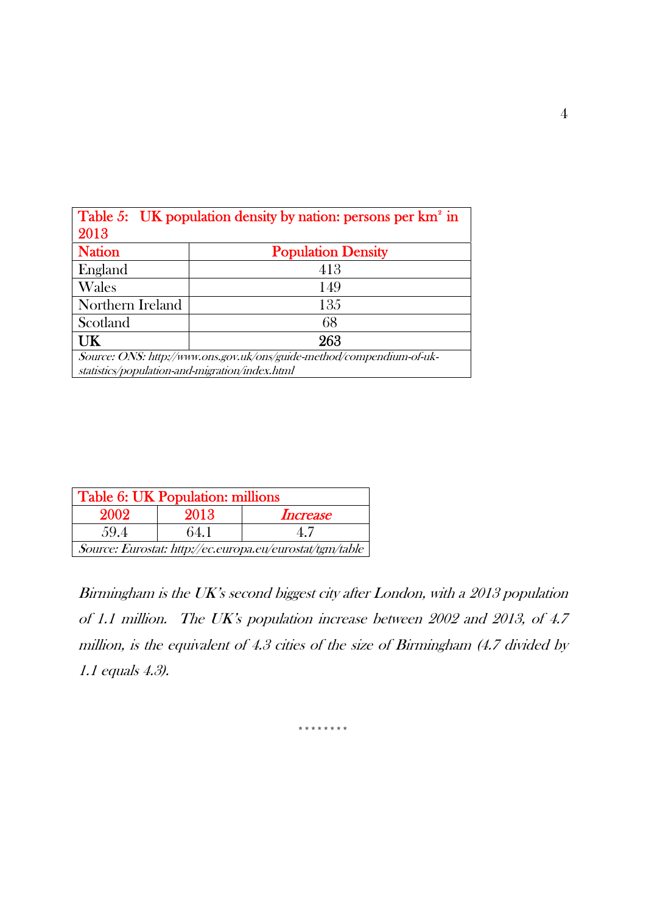| Table 5: UK population density by nation: persons per km <sup>2</sup> in                                                |                           |  |  |  |
|-------------------------------------------------------------------------------------------------------------------------|---------------------------|--|--|--|
| 2013                                                                                                                    |                           |  |  |  |
| <b>Nation</b>                                                                                                           | <b>Population Density</b> |  |  |  |
| England                                                                                                                 | 413                       |  |  |  |
| Wales                                                                                                                   | 149                       |  |  |  |
| Northern Ireland                                                                                                        | 135                       |  |  |  |
| Scotland                                                                                                                | 68                        |  |  |  |
| UK                                                                                                                      | 263                       |  |  |  |
| Source: ONS: http://www.ons.gov.uk/ons/guide-method/compendium-of-uk-<br>statistics/population-and-migration/index.html |                           |  |  |  |

| Table 6: UK Population: millions                         |      |                 |  |  |
|----------------------------------------------------------|------|-----------------|--|--|
| 2002                                                     | 2013 | <i>Increase</i> |  |  |
| 59.4                                                     | 64.1 | 47              |  |  |
| Source: Eurostat: http://ec.europa.eu/eurostat/tgm/table |      |                 |  |  |

*Birmingham is the UK's second biggest city after London, with a 2013 population of 1.1 million. The UK's population increase between 2002 and 2013, of 4.7 million, is the equivalent of 4.3 cities of the size of Birmingham (4.7 divided by 1.1 equals 4.3).*

4

\*\*\*\*\*\*\*\*